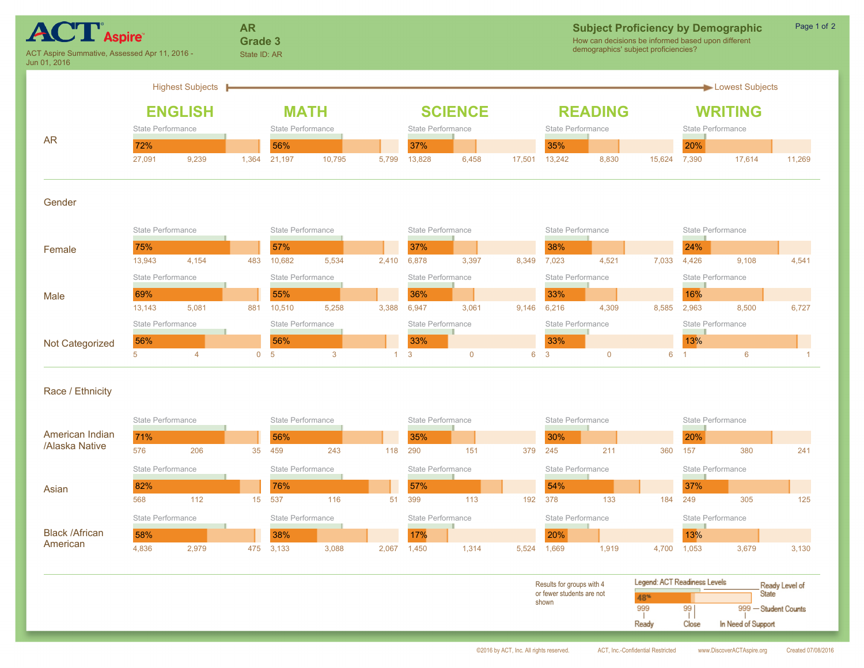